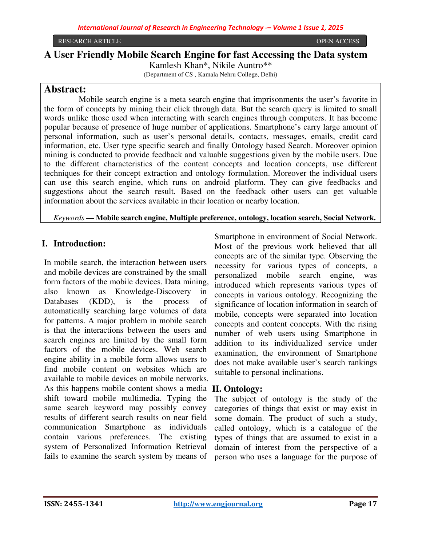# **A User Friendly Mobile Search Engine for fast Accessing the Data system**  Kamlesh Khan\*, Nikile Auntro\*\*

(Department of CS , Kamala Nehru College, Delhi)

# **Abstract:**

 Mobile search engine is a meta search engine that imprisonments the user's favorite in the form of concepts by mining their click through data. But the search query is limited to small words unlike those used when interacting with search engines through computers. It has become popular because of presence of huge number of applications. Smartphone's carry large amount of personal information, such as user's personal details, contacts, messages, emails, credit card information, etc. User type specific search and finally Ontology based Search. Moreover opinion mining is conducted to provide feedback and valuable suggestions given by the mobile users. Due to the different characteristics of the content concepts and location concepts, use different techniques for their concept extraction and ontology formulation. Moreover the individual users can use this search engine, which runs on android platform. They can give feedbacks and suggestions about the search result. Based on the feedback other users can get valuable information about the services available in their location or nearby location.

*Keywords* **— Mobile search engine, Multiple preference, ontology, location search, Social Network.**

# **I. Introduction:**

In mobile search, the interaction between users and mobile devices are constrained by the small form factors of the mobile devices. Data mining, also known as Knowledge-Discovery in Databases (KDD), is the process of automatically searching large volumes of data for patterns. A major problem in mobile search is that the interactions between the users and search engines are limited by the small form factors of the mobile devices. Web search engine ability in a mobile form allows users to find mobile content on websites which are available to mobile devices on mobile networks. As this happens mobile content shows a media **II. Ontology:**  shift toward mobile multimedia. Typing the same search keyword may possibly convey results of different search results on near field communication Smartphone as individuals contain various preferences. The existing system of Personalized Information Retrieval fails to examine the search system by means of

Smartphone in environment of Social Network. Most of the previous work believed that all concepts are of the similar type. Observing the necessity for various types of concepts, a personalized mobile search engine, was introduced which represents various types of concepts in various ontology. Recognizing the significance of location information in search of mobile, concepts were separated into location concepts and content concepts. With the rising number of web users using Smartphone in addition to its individualized service under examination, the environment of Smartphone does not make available user's search rankings suitable to personal inclinations.

The subject of ontology is the study of the categories of things that exist or may exist in some domain. The product of such a study, called ontology, which is a catalogue of the types of things that are assumed to exist in a domain of interest from the perspective of a person who uses a language for the purpose of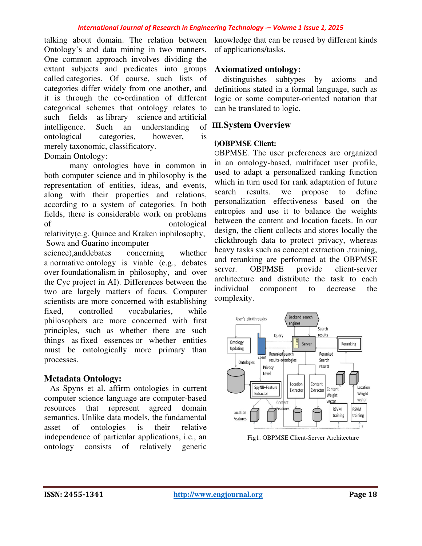#### *International Journal of Research in Engineering Technology International Technology -– Volume 1 Issue 1, 2015*

talking about domain. The relation between Ontology's and data mining in two manners. One common approach involves dividing the extant subjects and predicates into groups called categories. Of course, such lists of categories differ widely from one another, and it is through the co-ordination of different categorical schemes that ontology relates to such fields as library science and artificial intelligence. Such an understanding ontological categories, however, is merely taxonomic, classificatory. 1 involves dividing the<br>predicates into groups<br>course, such lists of<br>the proper and ordination of different<br>nat ontology relates to<br>science and artificial

#### Domain Ontology:

 many ontologies have in common in both computer science and in philosophy is the representation of entities, ideas, and events, along with their properties and relations, according to a system of categories. In both fields, there is considerable work on problems of ontological relativity(e.g. Quince and Kraken inphilosophy, Sowa and Guarino incomputer

science),anddebates concerning whether a normative ontology is viable (e.g., debates over foundationalism in philosophy, and over the Cyc project in AI). Differences between the two are largely matters of focus. Computer scientists are more concerned with establishing fixed, controlled vocabularies, while philosophers are more concerned with first principles, such as whether there are such things as fixed essences or whether entities must be ontologically more primary than processes. cording to a system of categories. In both<br>elds, there is considerable work on problems<br>from the computer<br>distrivity (e.g. Quince and Kraken inphilosophy,<br>lowa and Guarino incomputer<br>tience), and<br>debates concerning whether

### **Metadata Ontology:**

 As Spyns et al. affirm ontologies in current computer science language are computer resources that represent agreed domain semantics. Unlike data models, the fundamental asset of ontologies is their relative resources that represent agreed domain<br>
semantics. Unlike data models, the fundamental<br>
asset of ontologies is their relative<br>
independence of particular applications, i.e., an ontology consists of relatively generic

knowledge that can be reused by different kinds of applications/tasks.

## **Axiomatized ontology:**

 distinguishes subtypes by axioms and definitions stated in a formal language, such as logic or some computer-oriented notation that can be translated to logic.

### **III.System Overview**

#### **i)OBPMSE Client:**

OBPMSE. The user preferences are organized in an ontology-based, multifacet user profile, used to adapt a personalized ranking function which in turn used for rank adaptation of future search results. we propose to define personalization effectiveness based on the entropies and use it to balance the weights between the content and location facets. In our design, the client collects and stores locally the clickthrough data to protect privacy, whereas heavy tasks such as concept extraction ,training, and reranking are performed at the OBPMSE server. OBPMSE provide client-server architecture and distribute the task to each<br>
individual component to decrease the individual component to decrease the complexity. knowledge that can be reused by different kinds<br>of applications/tasks.<br>**Axiomatized ontology:**<br>distinguishes subtypes by axioms and<br>definitions stated in a formal language, such as<br>logic or some computer-oriented notation



Fig1. OBPMSE Client-Server Architecture Server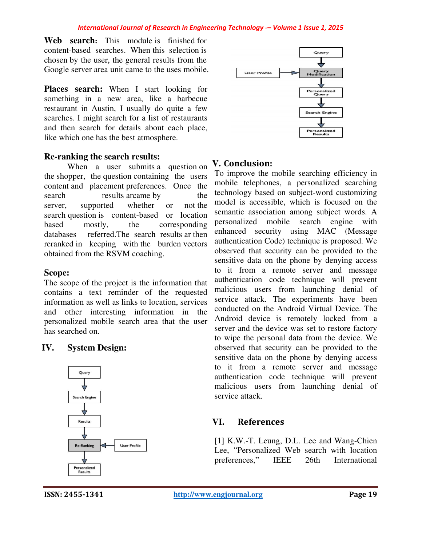Web search: This module is finished for content-based searches. When this selection is chosen by the user, the general results from the Google server area unit came to the uses mobile.

**Places search:** When I start looking for something in a new area, like a barbecue restaurant in Austin, I usually do quite a few searches. I might search for a list of restaurants and then search for details about each place, like which one has the best atmosphere. ething in a new area, like a barbecue<br>uurant in Austin, I usually do quite a few<br>ches. I might search for a list of restaurants<br>then search for details about each place,<br>which one has the best atmosphere.

## **Re-ranking the search results:**

When a user submits a question on the shopper, the question containing the users the shopper, the question containing the users content and placement preferences. Once the search results arcame by the server, supported whether or search question is content-based or location<br>
based mostly, the corresponding<br>
databases referred.The search results ar then based mostly, the corresponding databases referred. The search results ar then reranked in keeping with the bu burden vectors obtained from the RSVM coaching. not the a user submits a question on **V. Conclusion:**<br>the question containing the users To improve the r<br>placement preferences. Once the mobile telephone<br>results arcame by the technology based<br>poported whether or not the model is

## **Scope:**

The scope of the project is the information that contains a text reminder of the requested information as well as links to location, services and other interesting information in the personalized mobile search area that the user has searched on.

# **IV. System Design:**





To improve the mobile searching efficiency in mobile telephones, a personalized searching To improve the mobile searching efficiency in<br>mobile telephones, a personalized searching<br>technology based on subject-word customizing model is accessible, which is focused on the semantic association among subject words. A personalized mobile search engine with enhanced security using MAC (Message authentication Code) technique is proposed. We observed that security can be provided to the sensitive data on the phone by denying access to it from a remote server and message authentication code technique will prevent malicious users from launching denial of service attack. The experiments have been conducted on the Android Virtual Device. The Android device is remotely locked from a server and the device was set to restore factory to wipe the personal data from the device. We observed that security can be provided to the sensitive data on the phone by denying access to it from a remote server and message authentication code technique will prevent malicious users from launching denial of service attack. model is accessible, which is focused on the<br>semantic association among subject words. A<br>personalized mobile search engine with<br>enhanced security using MAC (Message<br>authentication Code) technique is proposed. We<br>observed t

## **VI. References**

[1] K.W.-T. Leung, D.L. Lee and Wang-Chien Lee, "Personalized Web search with location<br>preferences," IEEE 26th International preferences," IEEE 26th International